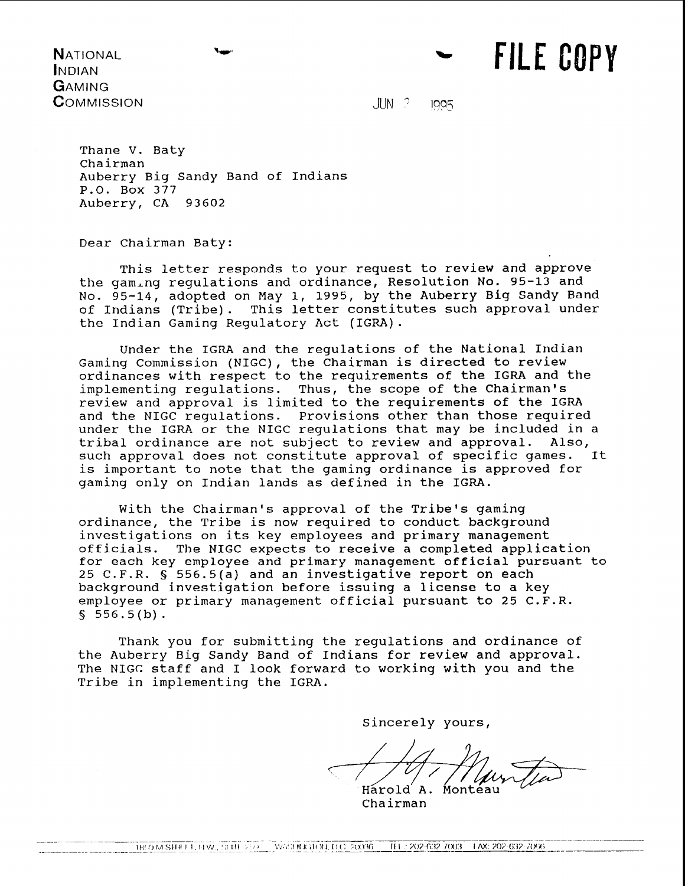**NATIONAL INDIAN** GAMING COMMISSION

 $JUN$   $?$ 1005 **FILE COPY** 

Thane V. Baty chairman Auberry Big Sandy Band of Indians P.O. Box 377 Auberry, CA 93602

Dear Chairman Baty:

This letter responds to your request to review and approve the gam.ng regulations and ordinance, Resolution No. 95-13 and No. 95-14, adopted on May 1, 1995, by the Auberry Big Sandy Band of Indians (Tribe). This letter constitutes such approval under the Indian Gaming Regulatory Act (IGRA).

Under the IGRA and the regulations of the National Indian Gaming Commission (NIGC), the Chairman is directed to review ordinances with respect to the requirements of the IGRA and the implementing regulations. Thus, the scope of the Chairman's review and approval is limited to the requirements of the IGRA and the NIGC regulations. Provisions other than those required under the IGRA or the NIGC regulations that may be included in a tribal ordinance are not subject to review and approval. Also, tribal ordinance are not subject to review and approval. Also, such approval does not constitute approval of specific games. is important to note that the gaming ordinance is approved for gaming only on Indian lands as defined in the IGRA.

With the Chairman's approval of the Tribe's gaming ordinance, the Tribe is now required to conduct background investigations on its key employees and primary management officials. The NIGC expects to receive a completed application for each key employee and primary management official pursuant to 25 C.F.R. § 556.5(a) and an investigative report on each background investigation before issuing a license to a key employee or primary management official pursuant to 25 C.F.R. *<sup>S</sup>*556.5 (b) .

Thank you for submitting the regulations and ordinance of the Auberry Big Sandy Band of Indians for review and approval. The NIGC staff and I look forward to working with you and the Tribe in implementing the IGRA.

Sincerely yours,

Harold A. Monteau

Chairman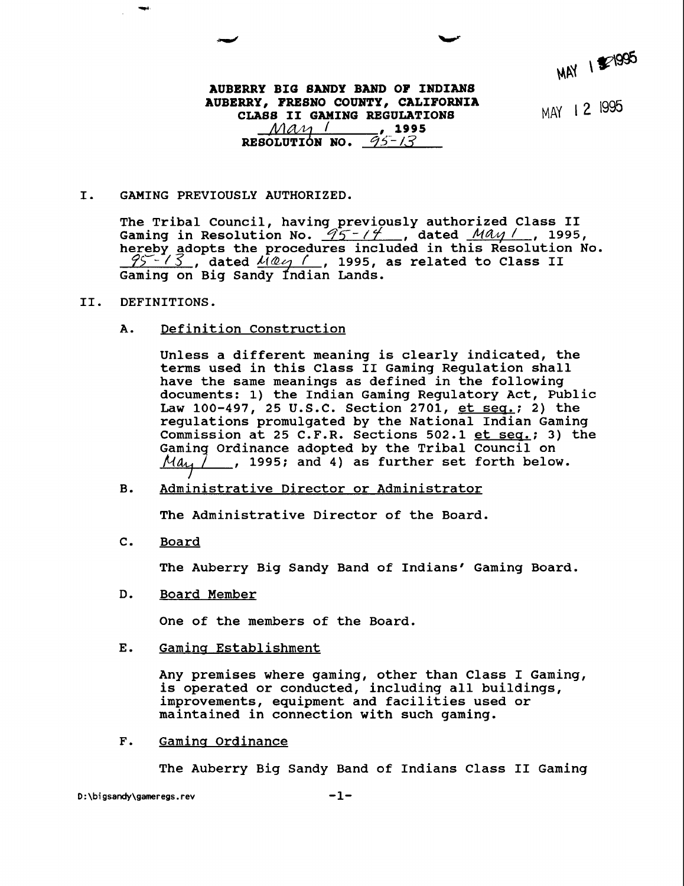**MAY** 1

# **AUBERRY BIG BANDY BAND OF INDIANS AUBERRY, FREBNO COUNTY, CALIFORNIA CLASS II GAMING REGULATIONS**<br> *MAM (1995***)** RESOLUTION NO.  $95 - 13$

MAY 12 1995

## **I. GAMING PREVIOUSLY AUTHORIZED.**

**The Tribal Council, having previously authorized Class I1**  The Tribal Council, having previously authorized Class II<br>Gaming in Resolution No. <u>95-77,</u> dated <u>MAy/</u>, 1995, **hereby adopts the procedures included in this Resolution No.**  ?SU- *13* , **dated** , **1995, as related to Class I1**  Gaming on Big Sandy Indian Lands.

### **11. DEFINITIONS.**

**Definition Construction**  A.

> **Unless a different meaning is clearly indicated, the terms used in this Class I1 Gaming Regulation shall have the same meanings as defined in the following documents: 1) the Indian Gaming Regulatory Act, Public**  Law 100-497, 25 U.S.C. Section 2701, et seq.; 2) the **regulations promulgated by the National Indian Gaming**  Commission at 25 C.F.R. Sections 502.1 et seq.; 3) the Gaming Ordinance adopted by the Tribal Council on May **adopted by the Tribal Council on** , **1995; and 4) as further set forth below.**

**B. Administrative Director or Administrator** 

**The Administrative Director of the Board.** 

**C. Board** 

**The Auberry Big Sandy Band of Indians' Gaming Board.** 

**D. Board Member** 

**One of the members of the Board.** 

E. Gaming Establishment

**Any premises where gaming, other than Class I Gaming, is operated or conducted, including all buildings, improvements, equipment and facilities used or maintained in connection with such gaming.** 

**F. Gamins Ordinance** 

**The Auberry Big Sandy Band of Indians Class I1 Gaming**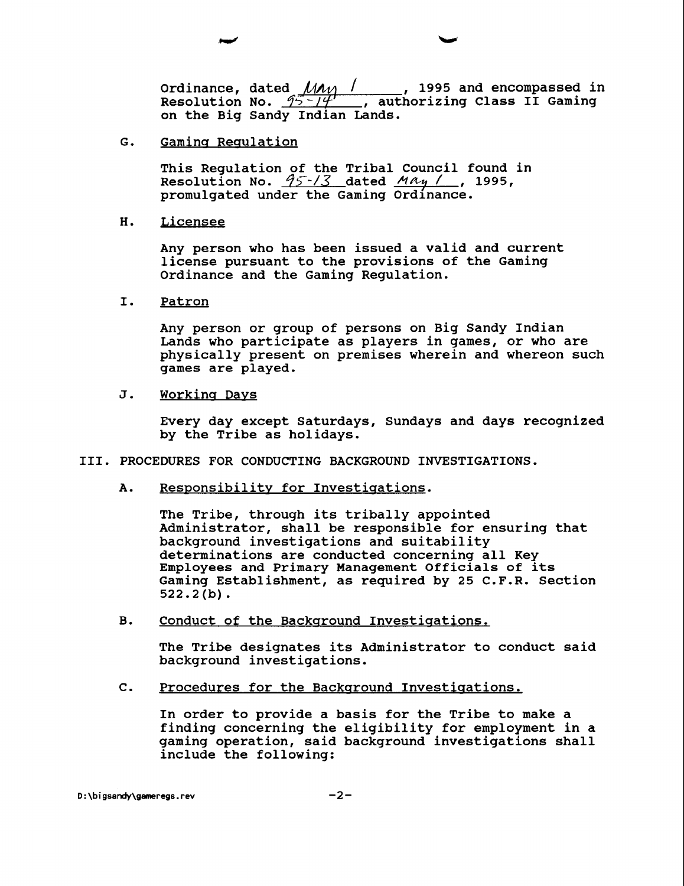**Ordinance, dated** *MAM 1*, 1995 and encompassed in Resolution No. <u>95-14'</u> , authorizing Class II Gaming **on the Big Sandy Indian Lands.** 

**G. Gamins Reaulation** 

**This Regulation of the Tribal Council found in Resolution No.**  $\frac{95 - 13}{9}$  dated  $\frac{May}{g}$ , 1995, **promulgated under the Gaming Ordinance.** 

**H. Licensee** 

**Any person who has been issued a valid and current license pursuant to the provisions of the Gaming Ordinance and the Gaming Regulation.** 

**I. Patron** 

**Any person or group of persons on Big Sandy Indian Lands who participate as players in games, or who are physically present on premises wherein and whereon such games are played.** 

**J. Workina Days** 

**Every day except Saturdays, Sundays and days recognized by the Tribe as holidays.** 

# **111. PROCEDURES FOR CONDUCTING BACKGROUND INVESTIGATIONS.**

A. Responsibility for Investigations.

**The Tribe, through its tribally appointed Administrator, shall be responsible for ensuring that background investigations and suitability determinations are conducted concerning all Key Employees and Primary Management Officials of its Gaming Establishment, as required by 25 C.F.R. Section 522.2 (b)** .

**B.** Conduct of the Background Investigations.

**The Tribe designates its Administrator to conduct said background investigations.** 

**C.** Procedures for the Background Investigations.

**In order to provide a basis for the Tribe to make a finding concerning the eligibility for employment in a gaming operation, said background investigations shall include the following:**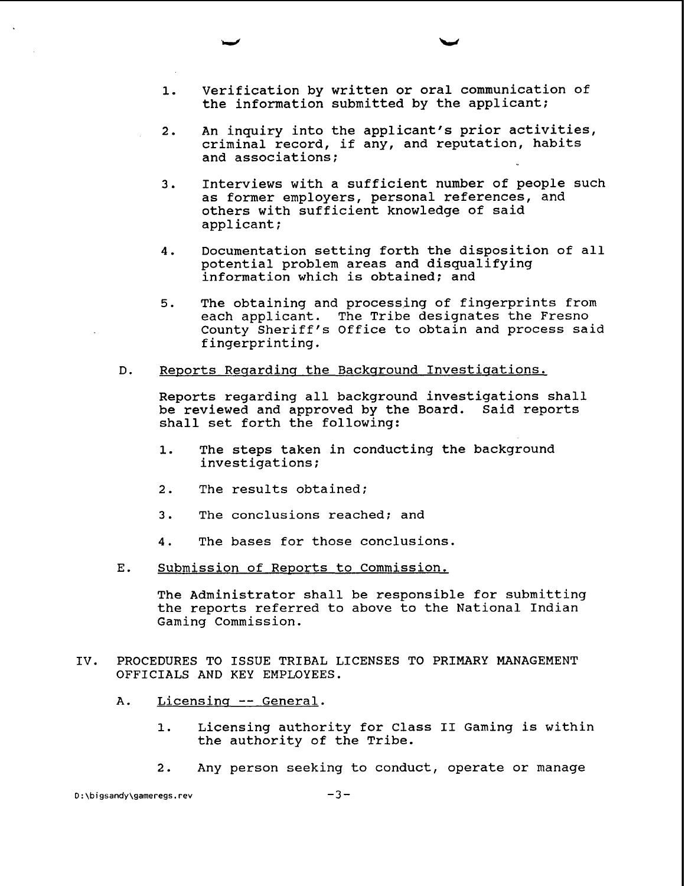- 1. Verification by written or oral communication of the information submitted by the applicant;
- **2.** An inquiry into the applicant's prior activities, criminal record, if any, and reputation, habits and associations;
- 3. Interviews with a sufficient number of people such as former employers, personal references, and others with sufficient knowledge of said applicant;
- 4. Documentation setting forth the disposition of all potential problem areas and disqualifying information which is obtained; and
- 5. The obtaining and processing of fingerprints from each applicant. The Tribe designates the Fresno County Sheriff's Office to obtain and process said fingerprinting.
- D. Reports Reqardinq the Backqround Investiqations.

Reports regarding all background investigations shall be reviewed and approved by the Board. Said reports shall set forth the following:

- 1. The steps taken in conducting the background investigations;
- 2. The results obtained;
- 3. The conclusions reached; and
- 4. The bases for those conclusions.
- E. Submission of Reports to Commission.

The Administrator shall be responsible for submitting the reports referred to above to the National Indian Gaming Commission.

- IV. PROCEDURES TO ISSUE TRIBAL LICENSES TO PRIMARY MANAGEMENT OFFICIALS AND KEY EMPLOYEES.
	- **A.** Licensinq -- General.
		- 1. Licensing authority for Class **I1** Gaming is within the authority of the Tribe.
		- 2. Any person seeking to conduct, operate or manage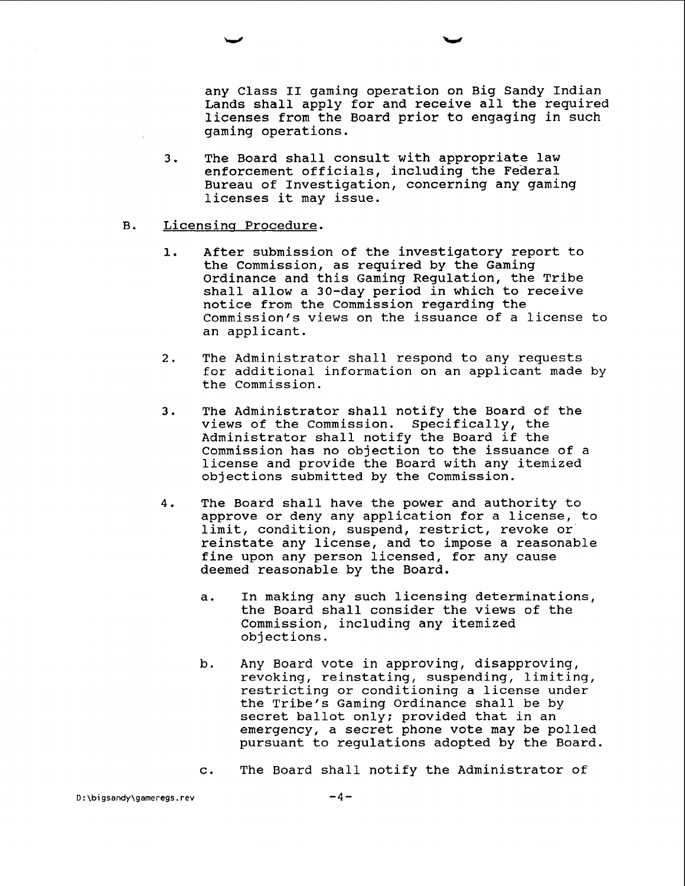any Class I1 gaming operation on Big Sandy Indian Lands shall apply for and receive all the required licenses from the Board prior to engaging in such gaming operations.

- 3. The Board shall consult with appropriate law enforcement officials, including the Federal Bureau of Investigation, concerning any gaming licenses it may issue.
- B. Licensinq Procedure.
	- 1. After submission of the investigatory report to the Commission, as required by the Gaming Ordinance and this Gaming Regulation, the Tribe shall allow a 30-day period in which to receive notice from the Commission regarding the Commission's views on the issuance of a license to an applicant.
	- 2. The Administrator shall respond to any requests for additional information on an applicant made by the Commission.
	- 3. The Administrator shall notify the Board of the views of the Commission. Specifically, the Administrator shall notify the Board if the Commission has no objection to the issuance of a license and provide the Board with any itemized objections submitted by the Commission.
	- 4. The Board shall have the power and authority to approve or deny any application for a license, to limit, condition, suspend, restrict, revoke or' reinstate any license, and to impose a reasonable fine upon any person licensed, for any cause deemed reasonable by the Board.
		- a. In making any such licensing determinations, the Board shall consider the views of the Commission, including any itemized objections.
		- b. Any Board vote in approving, disapproving, revoking, reinstating, suspending, limiting, restricting or conditioning a license under the Tribe's Gaming Ordinance shall be by secret ballot only; provided that in an emergency, a secret phone vote may be polled pursuant to regulations adopted by the Board.
		- c. The Board shall notify the Administrator of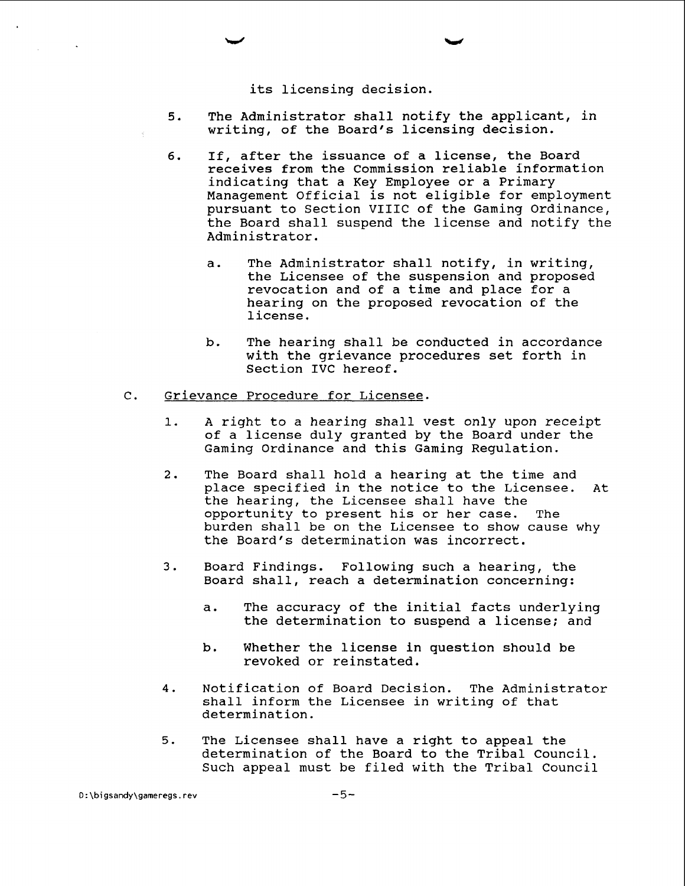its licensing decision.

- 5. The Administrator shall notify the applicant, in writing, of the Board's licensing decision.
- 6. If, after the issuance of a license, the Board receives from the Commission reliable information indicating that a Key Employee or a Primary Management Official is not eligible for employment pursuant to Section VIIIC of the Gaming Ordinance, the Board shall suspend the license and notify the Administrator.
	- a. The Administrator shall notify, in writing, the Licensee of the suspension and proposed revocation and of a time and place for a hearing on the proposed revocation of the license.
	- b. The hearing shall be conducted in accordance with the grievance procedures set forth in Section IVC hereof.

# C. Grievance Procedure for Licensee.

- 1. A right to a hearing shall vest only upon receipt of a license duly granted by the Board under the Gaming Ordinance and this Gaming Regulation.
- 2. The Board shall hold a hearing at the time and place specified in the notice to the Licensee. At the hearing, the Licensee shall have the<br>opportunity to present his or her case. The opportunity to present his or her case. burden shall be on the Licensee to show cause why the Board's determination was incorrect.
- 3. Board Findings. Following such a hearing, the Board shall, reach a determination concerning:
	- a. The accuracy of the initial facts underlying the determination to suspend a license; and
	- b. Whether the license in question should be revoked or reinstated.
- 4. Notification of Board Decision. The Administrator shall inform the Licensee in writing of that determination.
- 5. The Licensee shall have a right to appeal the determination of the Board to the Tribal Council. Such appeal must be filed with the Tribal Council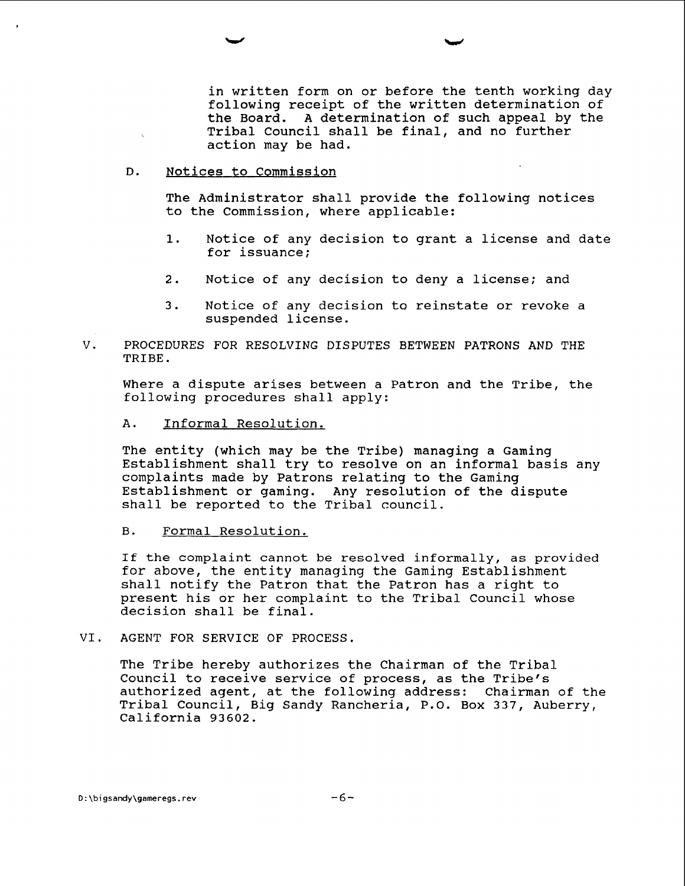in written form on or before the tenth working day following receipt of the written determination of the Board. A determination of such appeal by the Tribal Council shall be final, and no further action may be had.

## D. Notices to Commission

 $\mathcal{L}$ 

The Administrator shall provide the following notices to the Commission, where applicable:

- 1. Notice of any decision to grant a license and date for issuance;
- 2. Notice of any decision to deny a license; and
- 3. Notice of any decision to reinstate or revoke a suspended license.
- V. PROCEDURES FOR RESOLVING DISPUTES BETWEEN PATRONS AND THE TRIBE.

Where a dispute arises between a Patron and the Tribe, the following procedures shall apply:

A. Informal Resolution.

The entity (which may be the Tribe) managing a Gaming Establishment shall try to resolve on an informal basis any complaints made by Patrons relating to the Gaming Establishment or gaming. Any resolution of the dispute shall be reported to the Tribal council.

B. Formal Resolution.

If the complaint cannot be resolved informally, as provided for above, the entity managing the Gaming Establishment shall notify the Patron that the Patron has a right to present his or her complaint to the Tribal Council whose decision shall be final.

VI. AGENT FOR SERVICE OF PROCESS.

The Tribe hereby authorizes the Chairman of the Tribal Council to receive service of process, as the Tribe's authorized agent, at the following address: Chairman of the Tribal Council, Big Sandy Rancheria, P.O. Box 337, Auberry, California 93602.

D:\bigsandy\gameregs.rev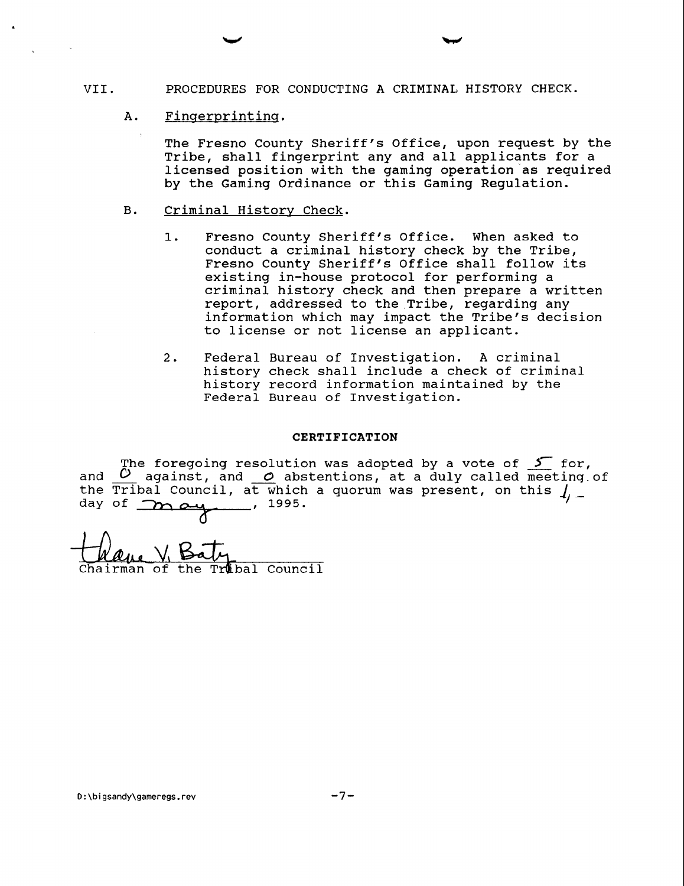# VII. PROCEDURES FOR CONDUCTING A CRIMINAL HISTORY CHECK.

A. Fingerprinting.

The Fresno County Sheriff's Office, upon request by the Tribe, shall fingerprint any and all applicants for a licensed position with the gaming operation as required by the Gaming Ordinance or this Gaming Regulation.

- B. Criminal History Check.
	- 1. Fresno County Sheriff's Office. When asked to conduct a criminal history check by the Tribe, Fresno County Sheriff's Office shall follow its existing in-house protocol for performing a criminal history check and then prepare a written report, addressed to the Tribe, regarding any information which may impact the Tribe's decision to license or not license an applicant.
	- 2. Federal Bureau of Investigation. A criminal history check shall include a check of criminal history record information maintained by the Federal Bureau of Investigation.

#### **CERTIFICATION**

The foregoing resolution was adopted by a vote of  $\mathcal S$  for, and  $O$  against, and  $O$  abstentions, at a duly called meeting of the Tribal Council, at which a quorum was present, on this  $1/2$  -<br>day of  $2/2$   $2/4$ ,  $1995$ .

Trubal Council the hairman of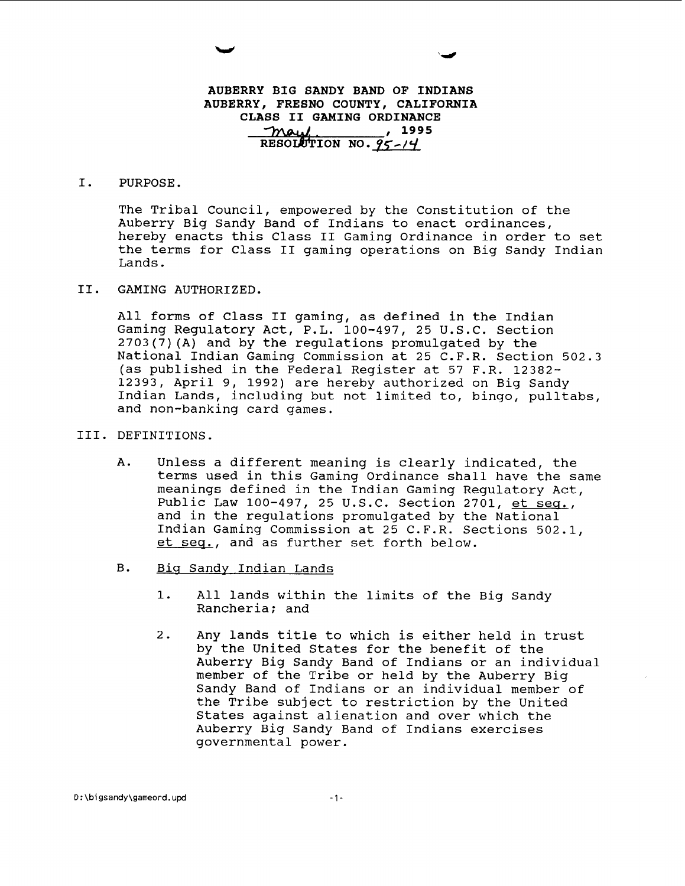# **AUBERRY BIG SANDY BAND OF INDIANS**  AUBERRY, FRESNO COUNTY, CALIFORNIA **CLASS I1 GAMING ORDINANCE**  , **<sup>1995</sup>** <u>May</u>, 1995<br>RESOLUTION NO. 95-14

## I. PURPOSE.

The Tribal Council, empowered by the Constitution of the Auberry Big Sandy Band of Indians to enact ordinances, hereby enacts this Class II Gaming Ordinance in order to set the terms for Class I1 gaming operations on Big Sandy Indian Lands.

11. GAMING AUTHORIZED.

All forms of Class I1 gaming, as defined in the Indian Gaming Regulatory Act, P.L. 100-497, 25 U.S.C. Section 2703(7)(A) and by the regulations promulgated by the National Indian Gaming Commission at 25 C.F.R. Section 502.3 (as published in the Federal Register at 57 F.R. 12382- 12393, April 9, 1992) are hereby authorized on Big Sandy Indian Lands, including but not limited to, bingo, pulltabs, and non-banking card games.

- 111. DEFINITIONS.
	- A. Unless a different meaning is clearly indicated, the terms used in this Gaming Ordinance shall have the same meanings defined in the Indian Gaming Regulatory Act, Public Law 100-497, 25 U.S.C. Section 2701, et seq., and in the regulations promulgated by the National Indian Gaming Commission at 25 C.F.R. Sections 502.1, et seq., and as further set forth below.
	- B. Big Sandy Indian Lands
		- 1. All lands within the limits of the Big Sandy Rancheria; and
		- 2. Any lands title to which is either held in trust by the United States for the benefit of the Auberry Big Sandy Band of Indians or an individual member of the Tribe or held by the Auberry Big Sandy Band of Indians or an individual member of the Tribe subject to restriction by the United States against alienation and over which the Auberry Big Sandy Band of Indians exercises governmental power.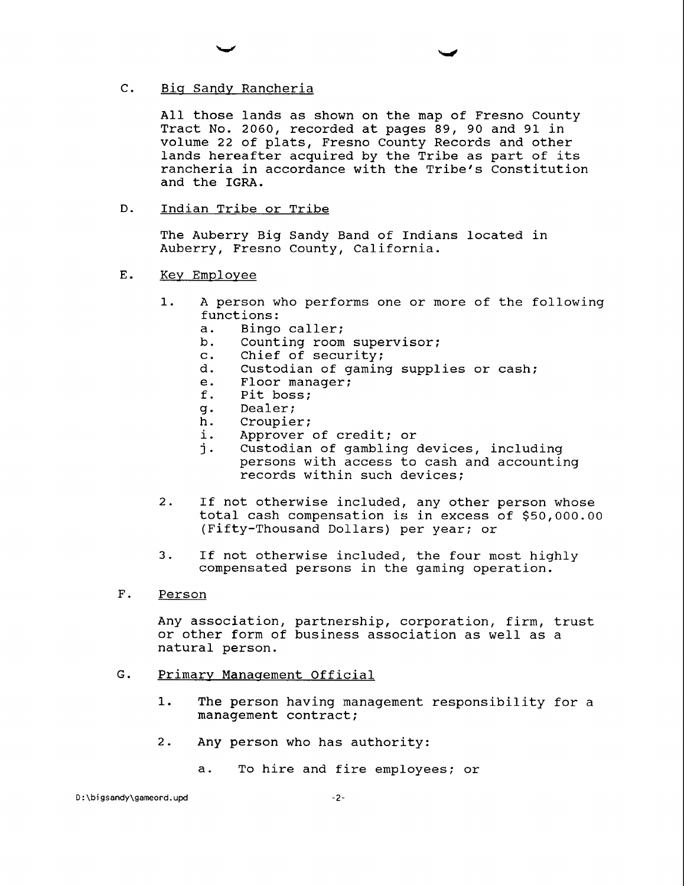# C. Big Sandy Rancheria

All those lands as shown on the map of Fresno County Tract No. 2060, recorded at pages 89, 90 and 91 in volume 22 of plats, Fresno County Records and other lands hereafter acquired by the Tribe as part of its rancheria in accordance with the Tribe's Constitution and the IGRA.

#### $D<sub>z</sub>$ Indian Tribe or Tribe

The Auberry Big Sandy Band of Indians located in Auberry, Fresno County, California.

- E. Key Employee
	- 1. A person who performs one or more of the following functions:<br>a. Bingo
		- a. Bingo caller;<br>b. Counting room
		- Counting room supervisor;
		- c. Chief of security;
		- d. Custodian of gaming supplies or cash;
		- e. Floor manager;<br>f. Pit boss;
		- Pit boss;
		- g. Dealer;
		- Croupier;
		- i. Approver of credit; or<br>i. Custodian of gambling
		- Custodian of gambling devices, including persons with access to cash and accounting records within such devices;
	- 2. If not otherwise included, any other person whose total cash compensation is in excess of \$50,000.00 (Fifty-Thousand Dollars) per year; or
	- 3. If not otherwise included, the four most highly compensated persons in the gaming operation.
- F. Person

Any association, partnership, corporation, firm, trust or other form of business association as well as a natural person.

- G. Primary Manaqement Official
	- 1. The person having management responsibility for a management contract;
	- 2. Any person who has authority:
		- a. To hire and fire employees; or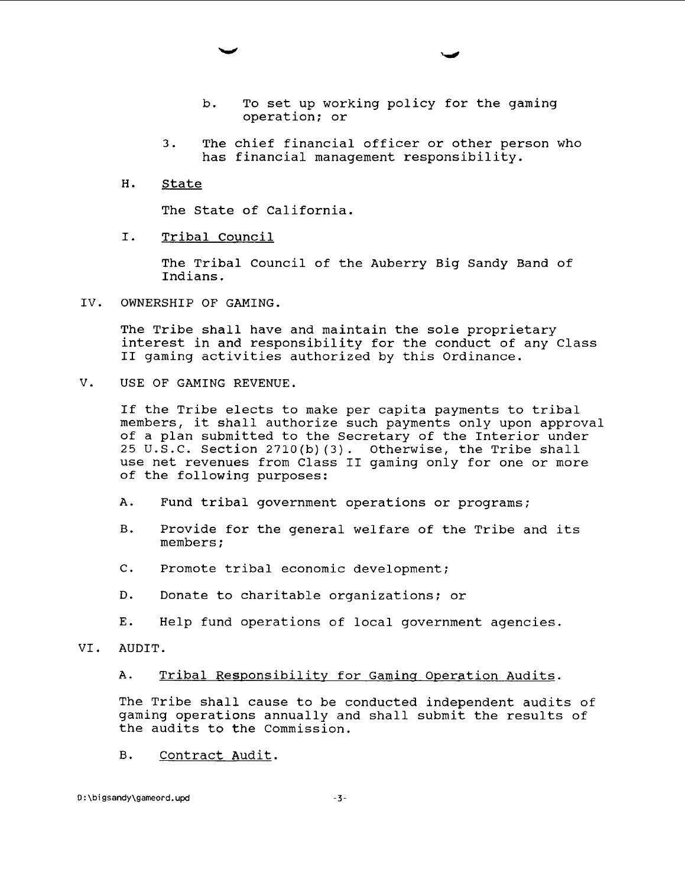- b. To set up working policy for the gaming operation; or
- 3. The chief financial officer or other person who has financial management responsibility.
- H. State

The State of California.

I. Tribal Council

The Tribal Council of the Auberry Big Sandy Band of Indians.

IV. OWNERSHIP OF GAMING.

The Tribe shall have and maintain the sole proprietary interest in and responsibility for the conduct of any Class I1 gaming activities authorized by this Ordinance.

V. USE OF GAMING REVENUE.

If the Tribe elects to make per capita payments to tribal members, it shall authorize such payments only upon approval of a plan submitted to the Secretary of the Interior under 25 U.S.C. Section 2710(b)(3). Otherwise, the Tribe shall use net revenues from Class I1 gaming only for one or more of the following purposes:

- A. Fund tribal government operations or programs;
- B. Provide for the general welfare of the Tribe and its members ;
- C. Promote tribal economic development;
- D. Donate to charitable organizations; or
- E. Help fund operations of local government agencies.
- VI. AUDIT.

A. Tribal Responsibility for Gaming Operation Audits.

The Tribe shall cause to be conducted independent audits of gaming operations annually and shall submit the results of the audits to the Commission.

 $B.$ Contract Audit.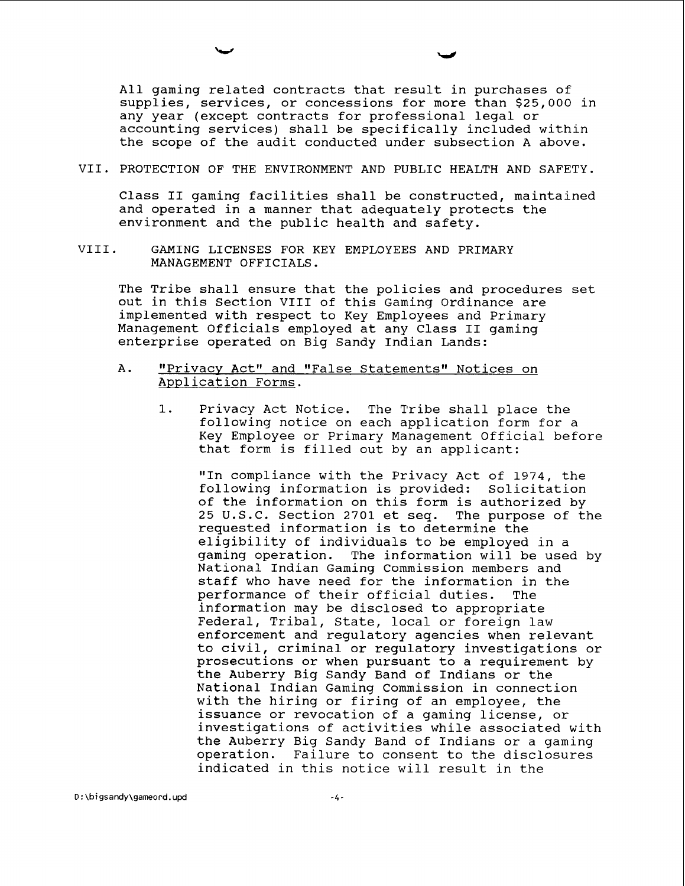All gaming related contracts that result in purchases of supplies, services, or concessions for more than \$25,000 in any year (except contracts for professional legal or accounting services) shall be specifically included within the scope of the audit conducted under subsection A above.

VII. PROTECTION OF THE ENVIRONMENT AND PUBLIC HEALTH AND SAFETY.

Class I1 gaming facilities shall be constructed, maintained and operated in a manner that adequately protects the environment and the public health and safety.

VIII. GAMING LICENSES FOR KEY EMPLOYEES AND PRIMARY MANAGEMENT OFFICIALS.

The Tribe shall ensure that the policies and procedures set out in this Section VIII of this Gaming Ordinance are implemented with respect to Key Employees and Primary Management officials employed at any Class I1 gaming enterprise operated on Big Sandy Indian Lands:

- A. "Privacy Act" and "False Statements" Notices on Application Forms.
	- 1. Privacy Act Notice. The Tribe shall place the following notice on each application form for a Key Employee or Primary Management Official before that form is filled out by an applicant:

"In compliance with the Privacy Act of 1974, the following information is provided: Solicitation of the information on this form is authorized by<br>25 U.S.C. Section 2701 et seq. The purpose of the  $25$  U.S.C. Section  $2701$  et seq. requested information is to determine the eligibility of individuals to be employed in a gaming operation. The information will be used by National Indian Gaming Commission members and staff who have need for the information in the performance of their official duties. The information may be disclosed to appropriate Federal, Tribal, State, local or foreign law enforcement and regulatory agencies when relevant to civil, criminal or regulatory investigations or prosecutions or when pursuant to a requirement by the Auberry Big Sandy Band of Indians or the National Indian Gaming Commission in connection with the hiring or firing of an employee, the issuance or revocation of a gaming license, or investigations of activities while associated with the Auberry Big Sandy Band of Indians or a gaming operation. Failure to consent to the disclosures indicated in this notice will result in the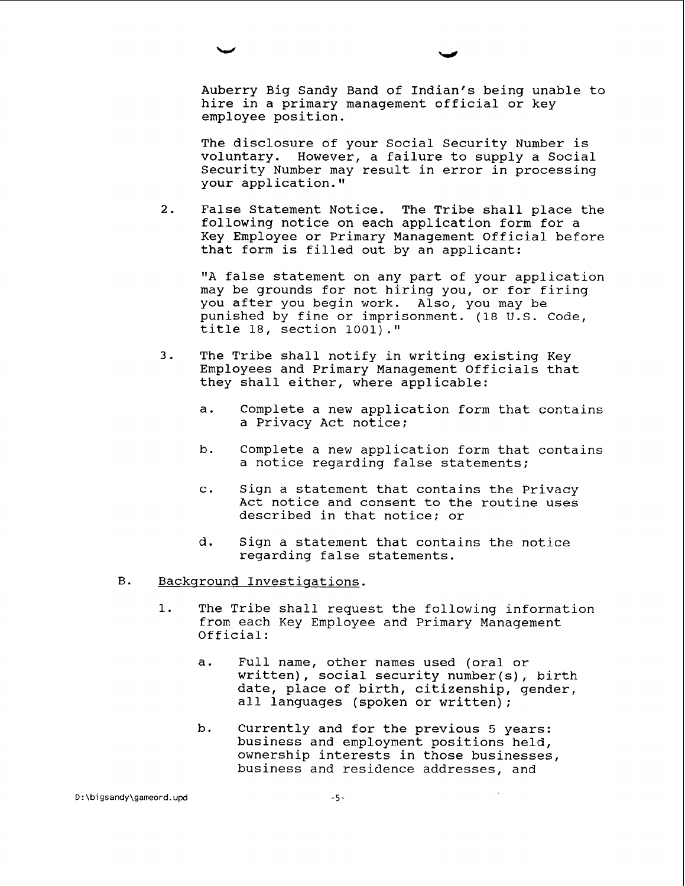Auberry Big Sandy Band of Indian's being unable to hire in a primary management official or key employee position.

The disclosure of your Social Security Number is voluntary. However, a failure to supply a Social Security Number may result in error in processing your application.

2. False Statement Notice. The Tribe shall place the following notice on each application form for a Key Employee or Primary Management Official before that form is filled out by an applicant:

"A false statement on any part of your application may be grounds for not hiring you, or for firing you after you begin work. Also, you may be punished by fine or imprisonment. (18 U.S. Code, title 18, section **1001) .I1** 

- 3. The Tribe shall notify in writing existing Key Employees and Primary Management officials that they shall either, where applicable:
	- a. Complete a new application form that contains a Privacy Act notice;
	- b. Complete a new application form that contains a notice regarding false statements;
	- c. Sign a statement that contains the Privacy Act notice and consent to the routine uses described in that notice; or
	- d. Sign a statement that contains the notice regarding false statements.
- **B**. Backqround Investiqations.
	- **1.** The Tribe shall request the following information from each Key Employee and Primary Management Official:
		- a. Full name, other names used (oral or written), social security number(s), birth date, place of birth, citizenship, gender, all languages (spoken or written);
		- b. Currently and for the previous 5 years: business and employment positions held, ownership interests in those businesses, business and residence addresses, and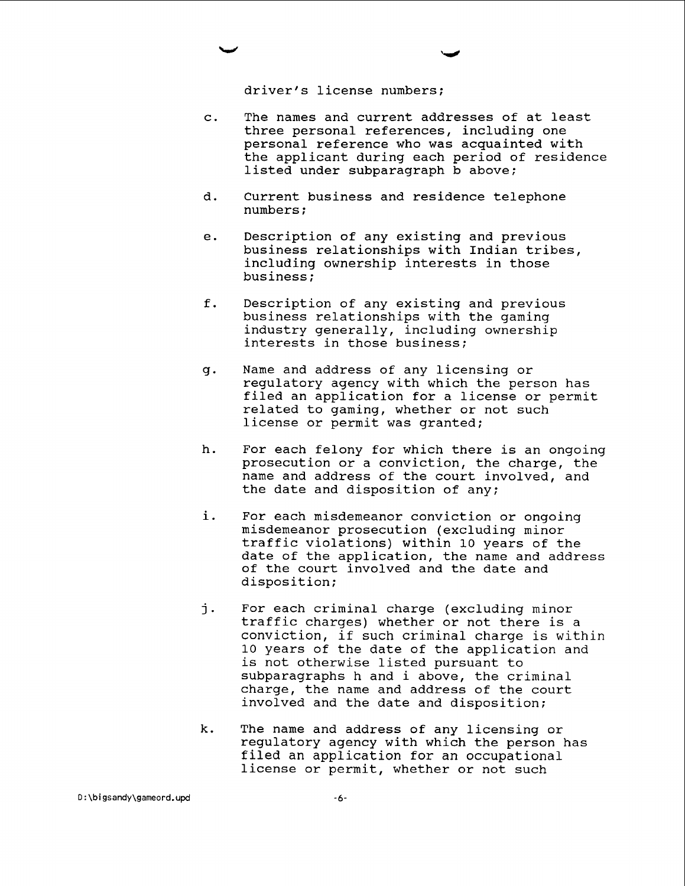driver's license numbers:

- The names and current addresses of at least  $\mathbf{C}$ . three personal references, including one personal reference who was acquainted with the applicant during each period of residence listed under subparagraph b above;
- d. Current business and residence telephone numbers ;
- $e<sub>1</sub>$ Description of any existing and previous business relationships with Indian tribes, including ownership interests in those business ;
- $f$ . Description of any existing and previous business relationships with the gaming industry generally, including ownership interests in those business;
- q. Name and address of any licensing or regulatory agency with which the person has filed an application for a license or permit related to gaming, whether or not such license or permit was granted;
- $h$ . For each felony for which there is an ongoing prosecution or a conviction, the charge, the name and address of the court involved, and the date and disposition of any;
- i. For each misdemeanor conviction or ongoing misdemeanor prosecution (excluding minor traffic violations) within 10 years of the date of the application, the name and address of the court involved and the date and disposition;
- i. For each criminal charge (excluding minor traffic charges) whether or not there is a conviction, if such criminal charge is within 10 years of the date of the application and is not otherwise listed pursuant to subparagraphs h and i above, the criminal charge, the name and address of the court involved and the date and disposition;
- k. The name and address of any licensing or regulatory agency with which the person has filed an application for an occupational license or permit, whether or not such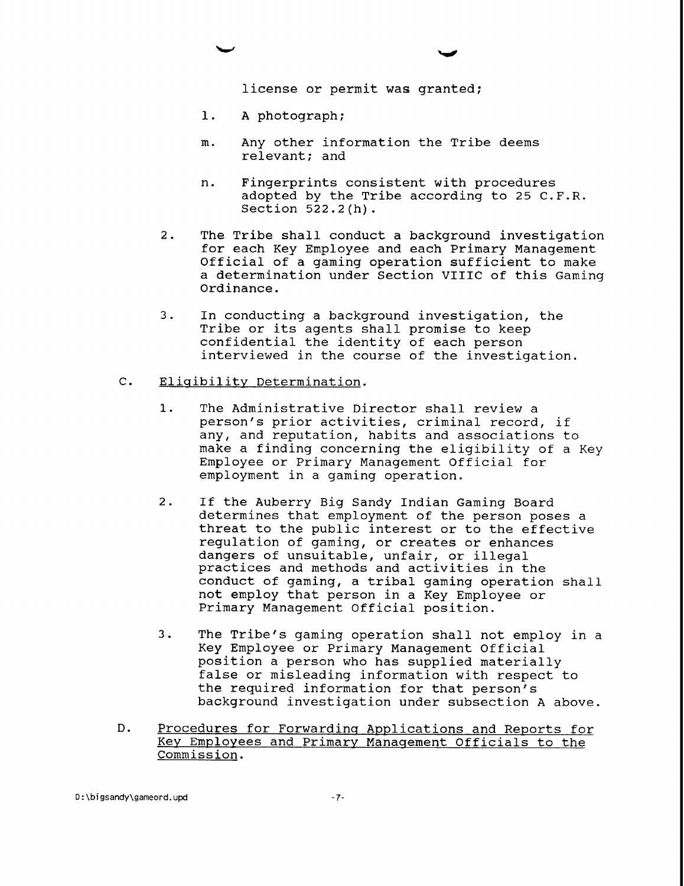license or permit was granted;

- 1. A photograph;
- m. Any other information the Tribe deems relevant; and
- n. Fingerprints consistent with procedures adopted by the Tribe according to 25 C.F.R. Section 522.2 (h) .
- 2. The Tribe shall conduct a background investigation for each Key Employee and each Primary Management Official of a gaming operation sufficient to make a determination under Section VIIIC of this Gaming Ordinance.
- 3. In conducting a background investigation, the Tribe or its agents shall promise to keep confidential the identity of each person interviewed in the course of the investigation.
- C. Eligibility Determination.
	- 1. The Administrative Director shall review a person's prior activities, criminal record, if any, and reputation, habits and associations to make a finding concerning the eligibility of a Key Employee or Primary Management Official for employment in a gaming operation.
	- 2. If the Auberry Big Sandy Indian Gaming Board determines that employment of the person poses a threat to the public interest or to the effective regulation of gaming, or creates or enhances dangers of unsuitable, unfair, or illegal practices and methods and activities in the conduct of gaming, a tribal gaming operation shall not employ that person in a Key Employee or Primary Management Official position.
	- 3. The Tribe's gaming operation shall not employ in a Key Employee or Primary Management Official position a person who has supplied materially false or misleading information with respect to the required information for that person's background investigation under subsection A above.
- D. Procedures for Forwarding Applications and Reports for Key Employees and Primary Manaqement Officials to the Commission.

D:\bigsandy\gameord.upd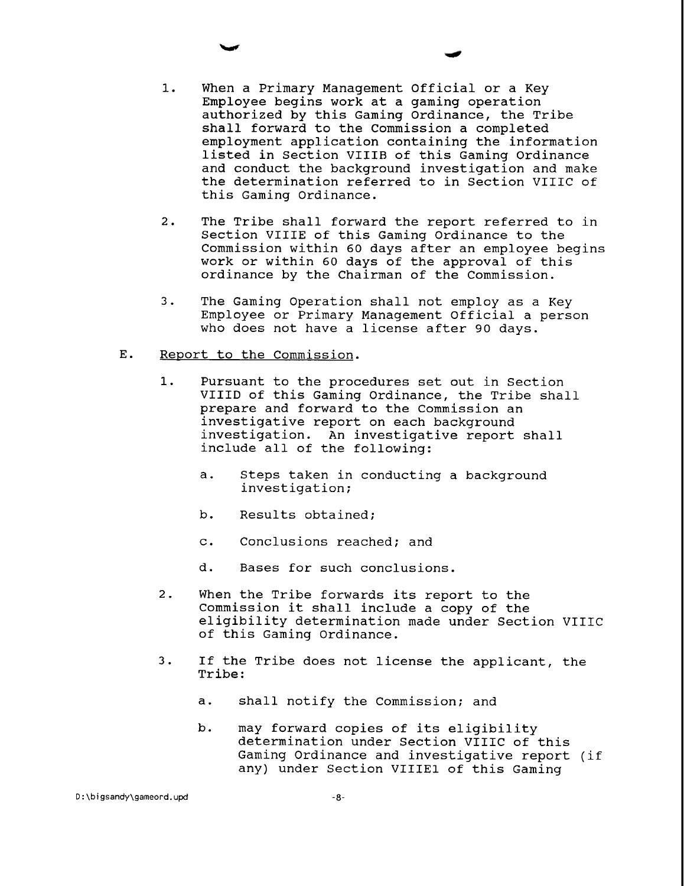- 1. When a Primary Management Official or a Key Employee begins work at a gaming operation authorized by this Gaming Ordinance, the Tribe shall forward to the Commission a completed employment application containing the information listed in Section VIIIR of this Gaming Ordinance and conduct the background investigation and make the determination referred to in Section VIIIC of this Gaming Ordinance.
- 2. The Tribe shall forward the report referred to in Section VIIIE of this Gaming Ordinance to the Commission within 60 days after an employee begins work or within 60 days of the approval of this ordinance by the Chairman of the Commission.
- 3. The Gaming Operation shall not employ as a Key Employee or Primary Management Official a person who does not have a license after 90 days.
- $E.$ Report to the Commission.
	- 1. Pursuant to the procedures set out in Section VIIID of this Gaming Ordinance, the Tribe shall prepare and forward to the Commission an investigative report on each background investigation. An investigative report shall include all of the following:
		- a. Steps taken in conducting a background investigation;
		- b. Results obtained;
		- c. Conclusions reached; and
		- d. Bases for such conclusions.
	- 2. When the Tribe forwards its report to the Commission it shall include a copy of the eligibility determination made under Section VIIIC of this Gaming Ordinance.
	- 3. If the Tribe does not license the applicant, the Tribe:
		- a. shall notify the Commission; and
		- b. may forward copies of its eligibility determination under Section VIIIC of this Gaming Ordinance and investigative report (if any) under Section VIIIEl of this Gaming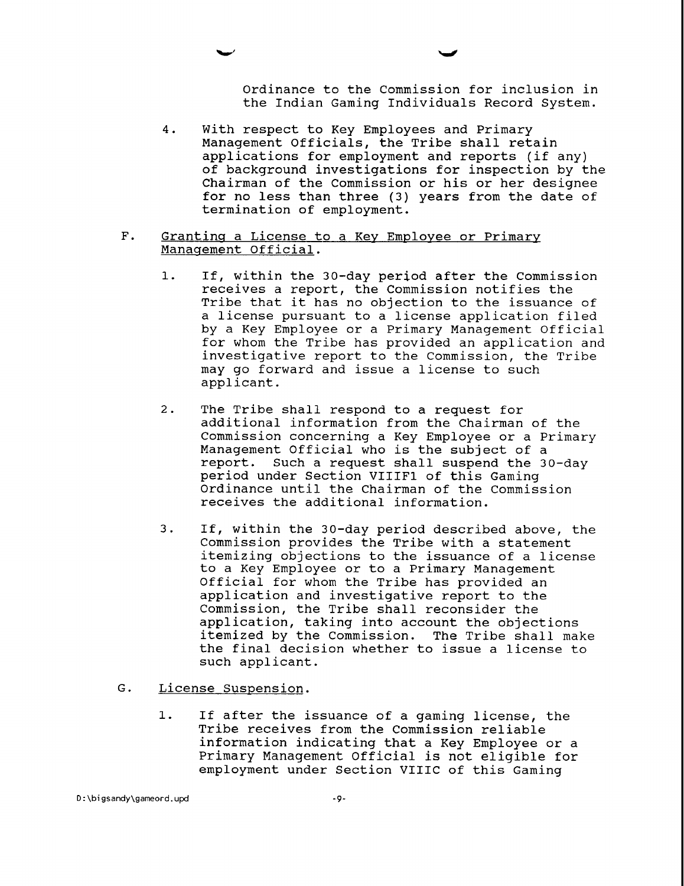Ordinance to the Commission for inclusion in the Indian Gaming Individuals Record System.

- 4. With respect to Key Employees and Primary Management Officials, the Tribe shall retain applications for employment and reports (if any) of background investigations for inspection by the Chairman of the Commission or his or her designee for no less than three (3) years from the date of termination of employment.
- F. Granting a License to a Key Employee or Primary Management Official.
	- $1.$ If, within the 30-day period after the Commission receives a report, the Commission notifies the Tribe that it has no objection to the issuance of a license pursuant to a license application filed by a Key Employee or a Primary Management Official for whom the Tribe has provided an application and investigative report to the Commission, the Tribe may go forward and issue a license to such applicant.
	- 2. The Tribe shall respond to a request for additional information from the Chairman of the Commission concerning a Key Employee or a Primary Management Official who is the subject of a report. Such a request shall suspend the 30-day period under Section VIIIFl of this Gaming Ordinance until the Chairman of the Commission receives the additional information.
	- 3. If, within the 30-day period described above, the Commission provides the Tribe with a statement itemizing objections to the issuance of a license to a Key Employee or to a Primary Management Official for whom the Tribe has provided an application and investigative report to the Commission, the Tribe shall reconsider the application, taking into account the objections itemized by the Commission. The Tribe shall make the final decision whether to issue a license to such applicant.
- G. License Suspension.
	- 1. If after the issuance of a gaming license, the Tribe receives from the Commission reliable information indicating that a Key Employee or a Primary Management Official is not eligible for employment under Section VIIIC of this Gaming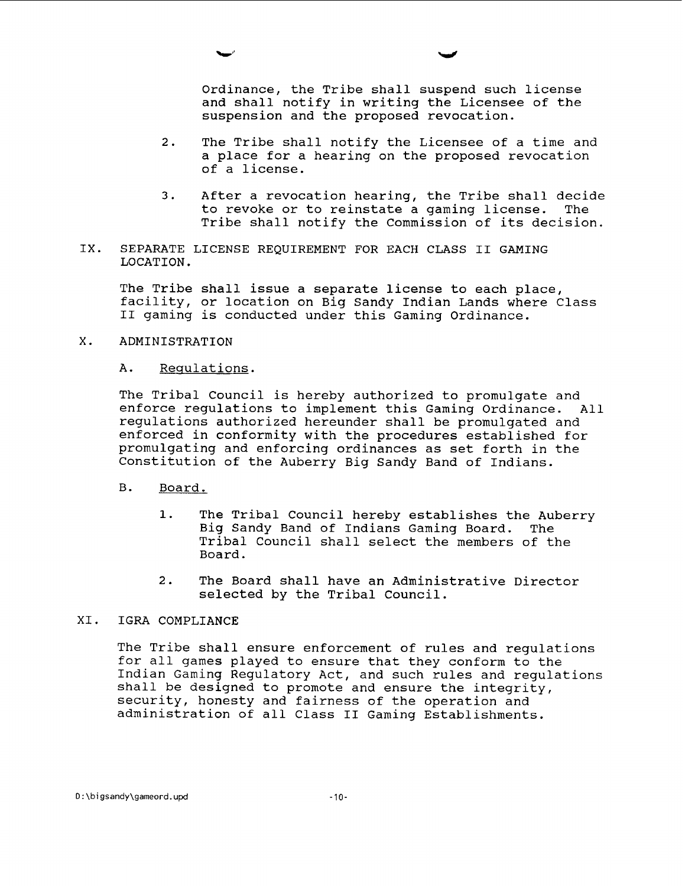Ordinance, the Tribe shall suspend such license and shall notify in writing the Licensee of the suspension and the proposed revocation.

- 2. The Tribe shall notify the Licensee of a time and a place for a hearing on the proposed revocation of a license.
- 3. After a revocation hearing, the Tribe shall decide<br>to revoke or to reinstate a gaming license. The to revoke or to reinstate a gaming license. Tribe shall notify the Commission of its decision.
- IX. SEPARATE LICENSE REQUIREMENT FOR EACH CLASS I1 GAMING LOCATION.

The Tribe shall issue a separate license to each place, facility, or location on Big Sandy Indian Lands where Class I1 gaming is conducted under this Gaming Ordinance.

X. ADMINISTRATION

# A. Requlations.

The Tribal Council is hereby authorized to promulgate and enforce regulations to implement this Gaming Ordinance. All regulations authorized hereunder shall be promulgated and enforced in conformity with the procedures established for promulgating and enforcing ordinances as set forth in the Constitution of the Auberry Big Sandy Band of Indians.

- B. Board.
	- 1. The Tribal Council hereby establishes the Auberry Big Sandy Band of Indians Gaming Board. The Tribal Council shall select the members of the Board.
	- 2. The Board shall have an Administrative Director selected by the Tribal Council.

# XI. IGRA COMPLIANCE

The Tribe shall ensure enforcement of rules and regulations for all games played to ensure that they conform to the Indian Gaming Regulatory Act, and such rules and regulations shall be designed to promote and ensure the integrity, security, honesty and fairness of the operation and administration of all Class II Gaming Establishments.